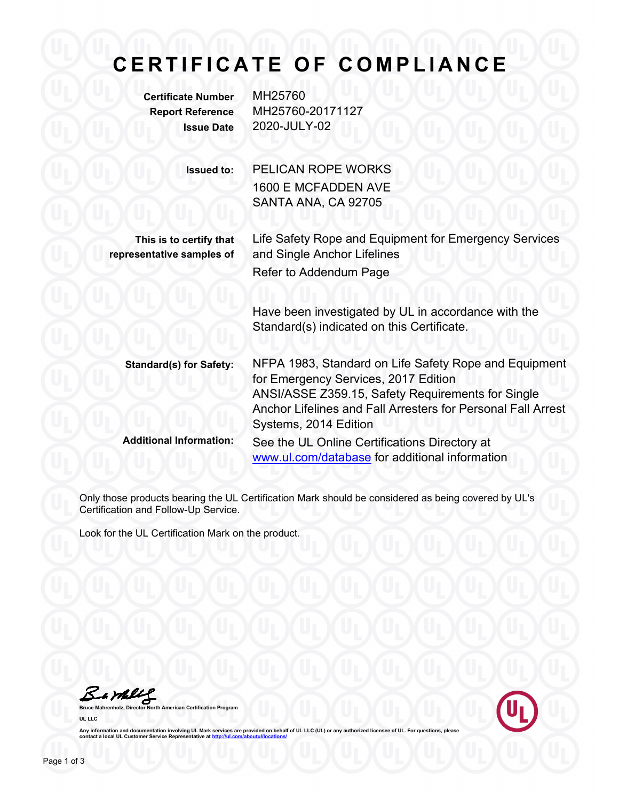## **CERTIFICATE OF COMPLIANCE**

**Certificate Number** MH25760

**Report Reference** MH25760-20171127 **Issue Date** 2020-JULY-02

> **Issued to:** PELICAN ROPE WORKS 1600 E MCFADDEN AVE SANTA ANA, CA 92705

**This is to certify that representative samples of**

Life Safety Rope and Equipment for Emergency Services and Single Anchor Lifelines Refer to Addendum Page

> Have been investigated by UL in accordance with the Standard(s) indicated on this Certificate.

**Standard(s) for Safety:** NFPA 1983, Standard on Life Safety Rope and Equipment for Emergency Services, 2017 Edition ANSI/ASSE Z359.15, Safety Requirements for Single Anchor Lifelines and Fall Arresters for Personal Fall Arrest Systems, 2014 Edition **Additional Information:** See the UL Online Certifications Directory at [www.ul.com/database](http://www.ul.com/database) for additional information

Only those products bearing the UL Certification Mark should be considered as being covered by UL's Certification and Follow-Up Service.

Look for the UL Certification Mark on the product.

Bambles

**Bruce Mahrenholz, Director North American Certification Program UL LLC**



Any information and documentation involving UL Mark services are provided on behalf of UL LLC (UL) or any authorized licensee of UL. For questions, please<br>contact a local UL Customer Service Representative at <u>http://ul.co</u>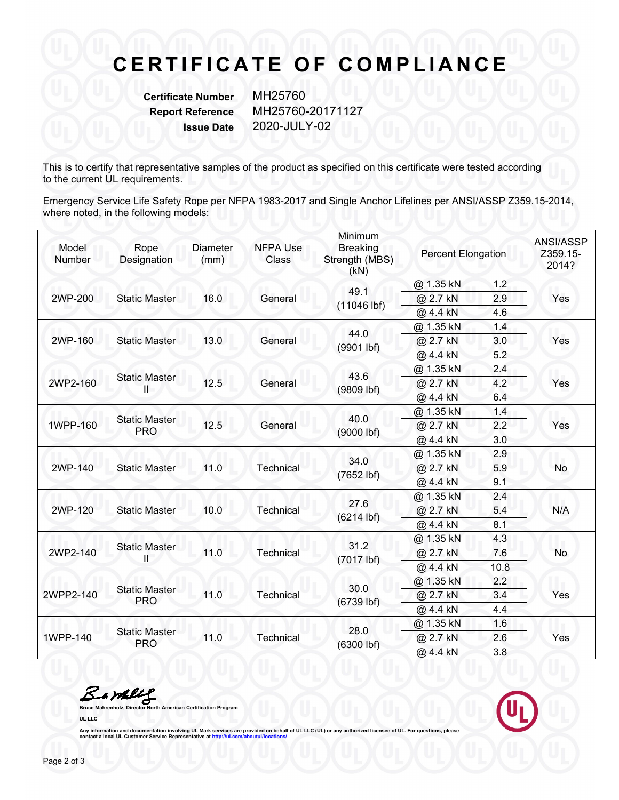## **CERTIFICATE OF COMPLIANCE**

**Certificate Number** MH25760

**Report Reference** MH25760-20171127 **Issue Date** 2020-JULY-02

This is to certify that representative samples of the product as specified on this certificate were tested according to the current UL requirements.

Emergency Service Life Safety Rope per NFPA 1983-2017 and Single Anchor Lifelines per ANSI/ASSP Z359.15-2014, where noted, in the following models:

| Model<br>Number | Rope<br>Designation                | <b>Diameter</b><br>(mm) | <b>NFPA Use</b><br>Class | Minimum<br><b>Breaking</b><br>Strength (MBS)<br>(kN) | <b>Percent Elongation</b> |      | ANSI/ASSP<br>Z359.15-<br>2014? |
|-----------------|------------------------------------|-------------------------|--------------------------|------------------------------------------------------|---------------------------|------|--------------------------------|
| 2WP-200         | <b>Static Master</b>               | 16.0                    | General                  | 49.1<br>$(11046$ lbf)                                | @ 1.35 kN                 | 1.2  | Yes                            |
|                 |                                    |                         |                          |                                                      | @ 2.7 kN                  | 2.9  |                                |
|                 |                                    |                         |                          |                                                      | @ 4.4 kN                  | 4.6  |                                |
| 2WP-160         | <b>Static Master</b>               | 13.0                    | General                  | 44.0<br>(9901 lbf)                                   | @ 1.35 kN                 | 1.4  | Yes                            |
|                 |                                    |                         |                          |                                                      | @ 2.7 kN                  | 3.0  |                                |
|                 |                                    |                         |                          |                                                      | @ 4.4 kN                  | 5.2  |                                |
|                 |                                    | 12.5                    | General                  | 43.6<br>(9809 lbf)                                   | @ 1.35 kN                 | 2.4  | Yes                            |
| 2WP2-160        | <b>Static Master</b><br>Ш          |                         |                          |                                                      | @ 2.7 kN                  | 4.2  |                                |
|                 |                                    |                         |                          |                                                      | @ 4.4 kN                  | 6.4  |                                |
| 1WPP-160        | <b>Static Master</b><br><b>PRO</b> | 12.5                    | General                  | 40.0<br>(9000 lbf)                                   | @ 1.35 kN                 | 1.4  | Yes                            |
|                 |                                    |                         |                          |                                                      | @ 2.7 kN                  | 2.2  |                                |
|                 |                                    |                         |                          |                                                      | @ 4.4 kN                  | 3.0  |                                |
| 2WP-140         | <b>Static Master</b>               | 11.0                    | Technical                | 34.0<br>(7652 lbf)                                   | @ 1.35 kN                 | 2.9  | No                             |
|                 |                                    |                         |                          |                                                      | @ 2.7 kN                  | 5.9  |                                |
|                 |                                    |                         |                          |                                                      | @ 4.4 kN                  | 9.1  |                                |
| 2WP-120         | <b>Static Master</b>               | 10.0                    | Technical                | 27.6<br>$(6214$ lbf)                                 | @ 1.35 kN                 | 2.4  | N/A                            |
|                 |                                    |                         |                          |                                                      | @ 2.7 kN                  | 5.4  |                                |
|                 |                                    |                         |                          |                                                      | @ 4.4 kN                  | 8.1  |                                |
| 2WP2-140        | <b>Static Master</b><br>Ш          | 11.0                    | Technical                | 31.2<br>(7017 lbf)                                   | @ 1.35 kN                 | 4.3  | No                             |
|                 |                                    |                         |                          |                                                      | @ 2.7 kN                  | 7.6  |                                |
|                 |                                    |                         |                          |                                                      | @ 4.4 kN                  | 10.8 |                                |
| 2WPP2-140       | <b>Static Master</b><br><b>PRO</b> | 11.0                    | Technical                | 30.0<br>$(6739$ lbf)                                 | @ 1.35 kN                 | 2.2  | Yes                            |
|                 |                                    |                         |                          |                                                      | @ 2.7 kN                  | 3.4  |                                |
|                 |                                    |                         |                          |                                                      | @ 4.4 kN                  | 4.4  |                                |
|                 | <b>Static Master</b><br><b>PRO</b> | 11.0                    | Technical                | 28.0<br>$(6300$ lbf)                                 | @ 1.35 kN                 | 1.6  | Yes                            |
| 1WPP-140        |                                    |                         |                          |                                                      | @ 2.7 kN                  | 2.6  |                                |
|                 |                                    |                         |                          |                                                      | @ 4.4 kN                  | 3.8  |                                |

Barkey

**Bruce Mahrenholz, Director North American Certification Program**

**UL LLC**

Any information and documentation involving UL Mark services are provided on behalf of UL LLC (UL) or any authorized licensee of UL. For questions, please<br>contact a local UL Customer Service Representative at <u>http://ul.co</u>